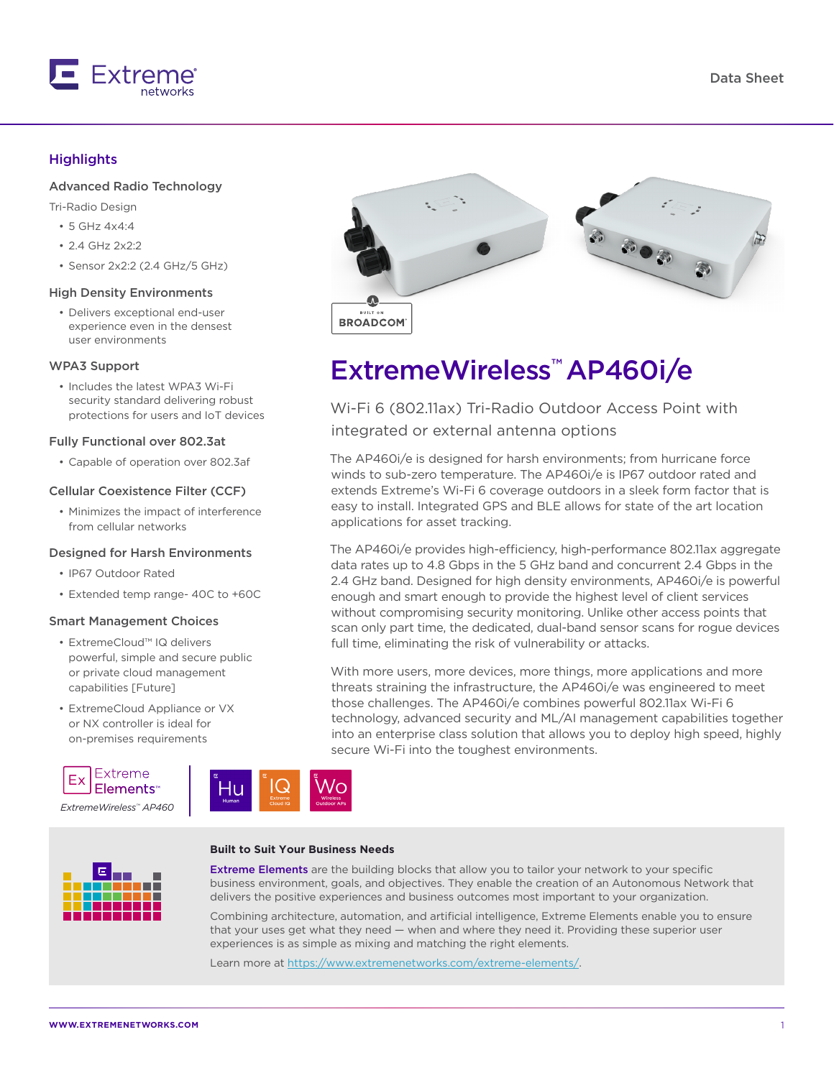

## **Highlights**

### Advanced Radio Technology

Tri-Radio Design

- 5 GHz 4x4:4
- $2.4$  GHz  $2x2:2$
- Sensor 2x2:2 (2.4 GHz/5 GHz)

#### High Density Environments

• Delivers exceptional end-user experience even in the densest user environments

#### WPA3 Support

• Includes the latest WPA3 Wi-Fi security standard delivering robust protections for users and IoT devices

#### Fully Functional over 802.3at

• Capable of operation over 802.3af

#### Cellular Coexistence Filter (CCF)

• Minimizes the impact of interference from cellular networks

#### Designed for Harsh Environments

- IP67 Outdoor Rated
- Extended temp range- 40C to +60C

#### Smart Management Choices

- ExtremeCloud™ IQ delivers powerful, simple and secure public or private cloud management capabilities [Future]
- ExtremeCloud Appliance or VX or NX controller is ideal for on-premises requirements





# ExtremeWireless™ AP460i/e

Wi-Fi 6 (802.11ax) Tri-Radio Outdoor Access Point with integrated or external antenna options

The AP460i/e is designed for harsh environments; from hurricane force winds to sub-zero temperature. The AP460i/e is IP67 outdoor rated and extends Extreme's Wi-Fi 6 coverage outdoors in a sleek form factor that is easy to install. Integrated GPS and BLE allows for state of the art location applications for asset tracking.

The AP460i/e provides high-efficiency, high-performance 802.11ax aggregate data rates up to 4.8 Gbps in the 5 GHz band and concurrent 2.4 Gbps in the 2.4 GHz band. Designed for high density environments, AP460i/e is powerful enough and smart enough to provide the highest level of client services without compromising security monitoring. Unlike other access points that scan only part time, the dedicated, dual-band sensor scans for rogue devices full time, eliminating the risk of vulnerability or attacks.

With more users, more devices, more things, more applications and more threats straining the infrastructure, the AP460i/e was engineered to meet those challenges. The AP460i/e combines powerful 802.11ax Wi-Fi 6 technology, advanced security and ML/AI management capabilities together into an enterprise class solution that allows you to deploy high speed, highly secure Wi-Fi into the toughest environments.

#### **Built to Suit Your Business Needs**

Hи



Extreme Elements are the building blocks that allow you to tailor your network to your specific business environment, goals, and objectives. They enable the creation of an Autonomous Network that delivers the positive experiences and business outcomes most important to your organization.

Combining architecture, automation, and artificial intelligence, Extreme Elements enable you to ensure that your uses get what they need — when and where they need it. Providing these superior user experiences is as simple as mixing and matching the right elements.

Learn more at<https://www.extremenetworks.com/extreme-elements/>.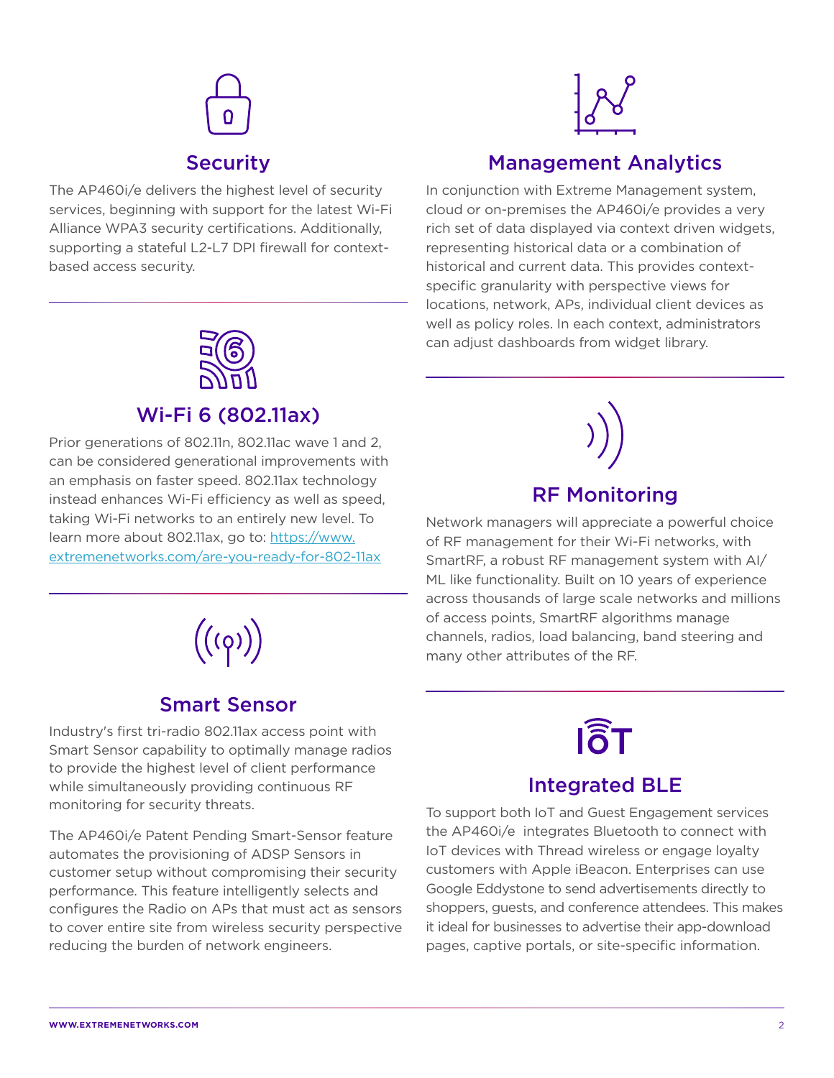# **Security**

The AP460i/e delivers the highest level of security services, beginning with support for the latest Wi-Fi Alliance WPA3 security certifications. Additionally, supporting a stateful L2-L7 DPI firewall for contextbased access security.



# Management Analytics

In conjunction with Extreme Management system, cloud or on-premises the AP460i/e provides a very rich set of data displayed via context driven widgets, representing historical data or a combination of historical and current data. This provides contextspecific granularity with perspective views for locations, network, APs, individual client devices as well as policy roles. In each context, administrators can adjust dashboards from widget library.



# Wi-Fi 6 (802.11ax)

Prior generations of 802.11n, 802.11ac wave 1 and 2, can be considered generational improvements with an emphasis on faster speed. 802.11ax technology instead enhances Wi-Fi efficiency as well as speed, taking Wi-Fi networks to an entirely new level. To learn more about 802.11ax, go to: https://www. extremenetworks.com/are-you-ready-for-802-11ax



# Smart Sensor

Industry's first tri-radio 802.11ax access point with Smart Sensor capability to optimally manage radios to provide the highest level of client performance while simultaneously providing continuous RF monitoring for security threats.

The AP460i/e Patent Pending Smart-Sensor feature automates the provisioning of ADSP Sensors in customer setup without compromising their security performance. This feature intelligently selects and configures the Radio on APs that must act as sensors to cover entire site from wireless security perspective reducing the burden of network engineers.



Network managers will appreciate a powerful choice of RF management for their Wi-Fi networks, with SmartRF, a robust RF management system with AI/ ML like functionality. Built on 10 years of experience across thousands of large scale networks and millions of access points, SmartRF algorithms manage channels, radios, load balancing, band steering and many other attributes of the RF.



# Integrated BLE

To support both IoT and Guest Engagement services the AP460i/e integrates Bluetooth to connect with IoT devices with Thread wireless or engage loyalty customers with Apple iBeacon. Enterprises can use Google Eddystone to send advertisements directly to shoppers, guests, and conference attendees. This makes it ideal for businesses to advertise their app-download pages, captive portals, or site-specific information.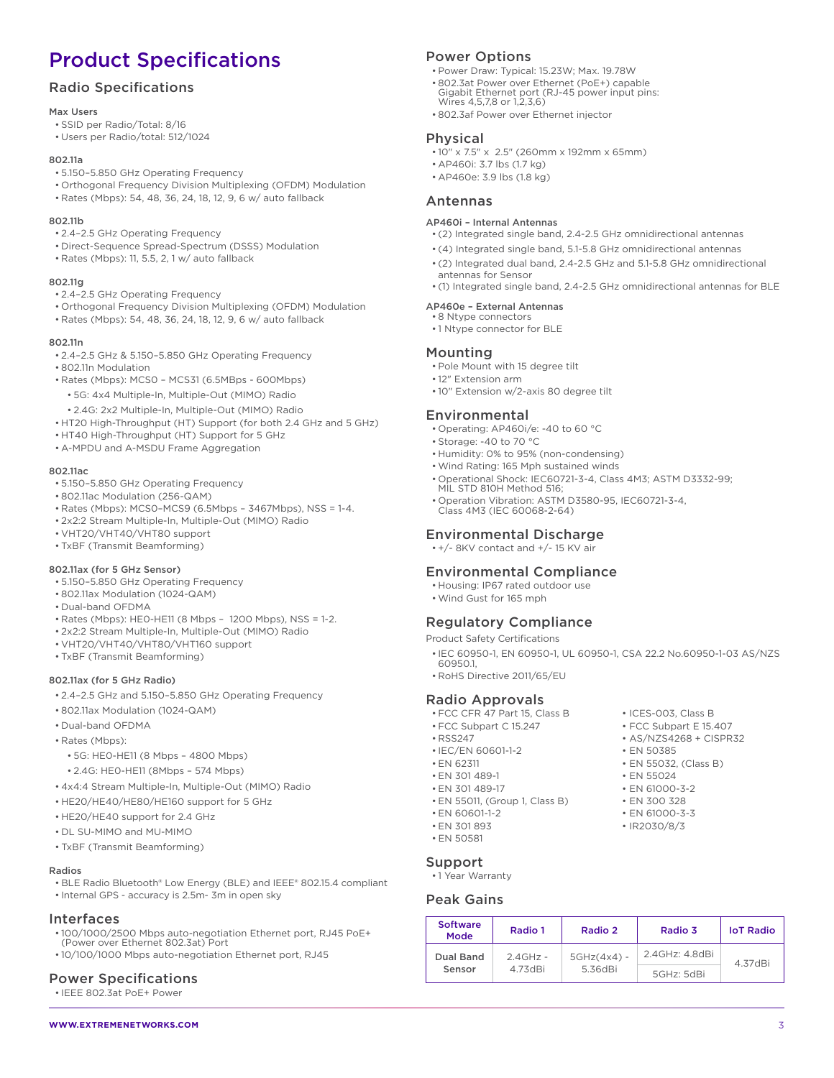# Product Specifications

## Radio Specifications

#### Max Users

- SSID per Radio/Total: 8/16
- Users per Radio/total: 512/1024

#### 802.11a

- 5.150–5.850 GHz Operating Frequency
- Orthogonal Frequency Division Multiplexing (OFDM) Modulation
- Rates (Mbps): 54, 48, 36, 24, 18, 12, 9, 6 w/ auto fallback

#### 802.11b

- 2.4–2.5 GHz Operating Frequency
- Direct-Sequence Spread-Spectrum (DSSS) Modulation
- Rates (Mbps): 11, 5.5, 2, 1 w/ auto fallback

#### 802.11g

- 2.4–2.5 GHz Operating Frequency
- Orthogonal Frequency Division Multiplexing (OFDM) Modulation
- Rates (Mbps): 54, 48, 36, 24, 18, 12, 9, 6 w/ auto fallback

#### 802.11n

- 2.4–2.5 GHz & 5.150–5.850 GHz Operating Frequency
- 802.11n Modulation
- Rates (Mbps): MCS0 MCS31 (6.5MBps 600Mbps)
- 5G: 4x4 Multiple-In, Multiple-Out (MIMO) Radio
- 2.4G: 2x2 Multiple-In, Multiple-Out (MIMO) Radio
- HT20 High-Throughput (HT) Support (for both 2.4 GHz and 5 GHz)
- HT40 High-Throughput (HT) Support for 5 GHz
- A-MPDU and A-MSDU Frame Aggregation

#### 802.11ac

- 5.150–5.850 GHz Operating Frequency
- 802.11ac Modulation (256-QAM)
- Rates (Mbps): MCS0–MCS9 (6.5Mbps 3467Mbps), NSS = 1-4.
- 2x2:2 Stream Multiple-In, Multiple-Out (MIMO) Radio
- VHT20/VHT40/VHT80 support
- TxBF (Transmit Beamforming)

#### 802.11ax (for 5 GHz Sensor)

- 5.150–5.850 GHz Operating Frequency
- 802.11ax Modulation (1024-QAM)
- Dual-band OFDMA
- Rates (Mbps): HE0-HE11 (8 Mbps 1200 Mbps), NSS = 1-2.
- 2x2:2 Stream Multiple-In, Multiple-Out (MIMO) Radio
- VHT20/VHT40/VHT80/VHT160 support
- TxBF (Transmit Beamforming)

#### 802.11ax (for 5 GHz Radio)

- 2.4–2.5 GHz and 5.150–5.850 GHz Operating Frequency
- 802.11ax Modulation (1024-QAM)
- Dual-band OFDMA
- Rates (Mbps):
	- 5G: HE0-HE11 (8 Mbps 4800 Mbps)
	- 2.4G: HE0-HE11 (8Mbps 574 Mbps)
- 4x4:4 Stream Multiple-In, Multiple-Out (MIMO) Radio
- HE20/HE40/HE80/HE160 support for 5 GHz
- HE20/HE40 support for 2.4 GHz
- DL SU-MIMO and MU-MIMO
- TxBF (Transmit Beamforming)

#### Radios

- BLE Radio Bluetooth® Low Energy (BLE) and IEEE® 802.15.4 compliant
- Internal GPS accuracy is 2.5m- 3m in open sky

#### Interfaces

- 100/1000/2500 Mbps auto-negotiation Ethernet port, RJ45 PoE+ (Power over Ethernet 802.3at) Port
- 10/100/1000 Mbps auto-negotiation Ethernet port, RJ45

#### Power Specifications

• IEEE 802.3at PoE+ Power

# Power Options

- Power Draw: Typical: 15.23W; Max. 19.78W
- 802.3at Power over Ethernet (PoE+) capable Gigabit Ethernet port (RJ-45 power input pins: Wires 4,5,7,8 or 1,2,3,6)
- 802.3af Power over Ethernet injector

#### Physical

- 10" x 7.5" x 2.5" (260mm x 192mm x 65mm)
- AP460i: 3.7 lbs (1.7 kg)
- AP460e: 3.9 lbs (1.8 kg)

## Antennas

#### AP460i – Internal Antennas

- (2) Integrated single band, 2.4-2.5 GHz omnidirectional antennas
- (4) Integrated single band, 5.1-5.8 GHz omnidirectional antennas
- (2) Integrated dual band, 2.4-2.5 GHz and 5.1-5.8 GHz omnidirectional antennas for Sensor
- (1) Integrated single band, 2.4-2.5 GHz omnidirectional antennas for BLE

#### AP460e – External Antennas • 8 Ntype connectors

• 1 Ntype connector for BLE

#### Mounting

- Pole Mount with 15 degree tilt
- 12" Extension arm
- 10" Extension w/2-axis 80 degree tilt

## Environmental

- Operating: AP460i/e: -40 to 60 °C
- Storage: -40 to 70 °C
- Humidity: 0% to 95% (non-condensing)
- Wind Rating: 165 Mph sustained winds
- Operational Shock: IEC60721-3-4, Class 4M3; ASTM D3332-99; MIL STD 810H Method 516;
- Operation Vibration: ASTM D3580-95, IEC60721-3-4, Class 4M3 (IEC 60068-2-64)

• IEC/EN 60601-1-2 • EN 50385 • EN 62311 • EN 55032, (Class B) • EN 301 489-1 • EN 55024 • FN 301 489-17 • FN 61000-3-2 • EN 55011, (Group 1, Class B) • EN 300 328 • EN 60601-1-2 • EN 61000-3-3 • EN 301 893 • IR2030/8/3

> 2.4GHz - 4.73dBi

# Environmental Discharge

• +/- 8KV contact and +/- 15 KV air

## Environmental Compliance

- Housing: IP67 rated outdoor use
- Wind Gust for 165 mph

## Regulatory Compliance

Product Safety Certifications

• IEC 60950-1, EN 60950-1, UL 60950-1, CSA 22.2 No.60950-1-03 AS/NZS 60950.1,

Mode Radio 1 Radio 2 Radio 3 IoT Radio

2.4GHz: 4.8dBi

5GHz: 5dBi

4.37dBi

5GHz(4x4) - 5.36dBi

• RoHS Directive 2011/65/EU

#### Radio Approvals

- FCC CFR 47 Part 15, Class B ICES-003, Class B
- FCC Subpart C 15.247 FCC Subpart E 15.407 • RSS247 • AS/NZS4268 + CISPR32

• EN 50581 Support • 1 Year Warranty Peak Gains **Software** 

Dual Band Sensor

**WWW.EXTREMENETWORKS.COM** 3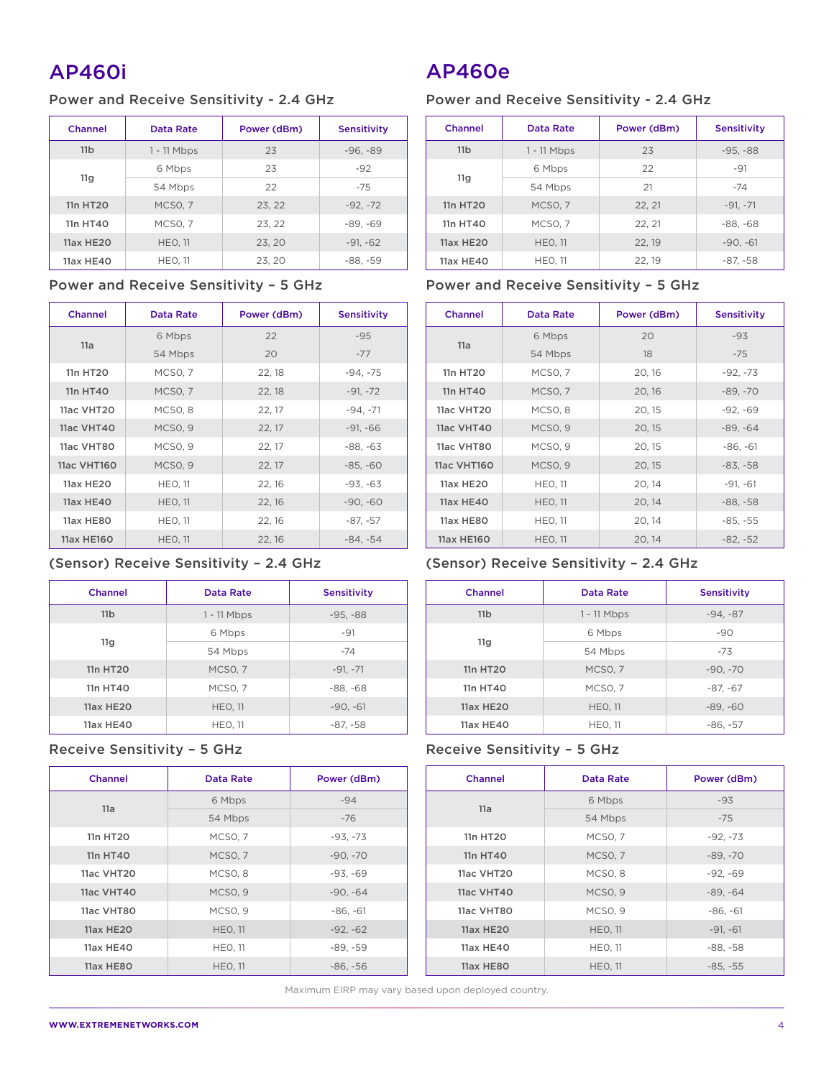# AP460i

# Power and Receive Sensitivity - 2.4 GHz

| Channel          | Data Rate           | Power (dBm) | <b>Sensitivity</b> |
|------------------|---------------------|-------------|--------------------|
| 11 <sub>b</sub>  | $1 - 11$ Mbps       | 23          | $-96, -89$         |
|                  | 6 Mbps              | 23          | $-92$              |
| 11g              | 54 Mbps             | 22          | $-75$              |
| 11n HT20         | MCSO, 7             | 23, 22      | $-92, -72$         |
| 11n HT40         | MCSO <sub>.</sub> 7 | 23, 22      | $-89. -69$         |
| <b>11ax HE20</b> | <b>HEO, 11</b>      | 23, 20      | $-91, -62$         |
| 11ax HE40        | <b>HEO. 11</b>      | 23, 20      | $-88, -59$         |

## Power and Receive Sensitivity – 5 GHz

| Channel          | <b>Data Rate</b>    | Power (dBm) | <b>Sensitivity</b> |
|------------------|---------------------|-------------|--------------------|
|                  | 6 Mbps              | 22          | $-95$              |
| 11a              | 54 Mbps             | 20          | $-77$              |
| 11n HT20         | MCSO, 7             | 22, 18      | $-94, -75$         |
| 11n HT40         | <b>MCSO, 7</b>      | 22, 18      | $-91, -72$         |
| 11ac VHT20       | MCSO <sub>, 8</sub> | 22, 17      | $-94, -71$         |
| 11ac VHT40       | <b>MCSO, 9</b>      | 22, 17      | $-91, -66$         |
| 11ac VHT80       | MCSO <sub>, 9</sub> | 22, 17      | $-88, -63$         |
| 11ac VHT160      | <b>MCSO, 9</b>      | 22, 17      | $-85, -60$         |
| 11ax HE20        | <b>HEO, 11</b>      | 22, 16      | $-93, -63$         |
| <b>11ax HE40</b> | <b>HEO, 11</b>      | 22, 16      | $-90, -60$         |
| <b>11ax HE80</b> | <b>HEO, 11</b>      | 22, 16      | $-87, -57$         |
| 11ax HE160       | <b>HEO, 11</b>      | 22, 16      | $-84, -54$         |

# (Sensor) Receive Sensitivity – 2.4 GHz

| Channel          | Data Rate      | <b>Sensitivity</b> |
|------------------|----------------|--------------------|
| 11 <sub>b</sub>  | $1 - 11$ Mbps  | $-95, -88$         |
|                  | 6 Mbps         | $-91$              |
| 11 <sub>g</sub>  | 54 Mbps        | $-74$              |
| 11n HT20         | MCSO, 7        | $-91, -71$         |
| 11n HT40         | MCSO, 7        | $-88, -68$         |
| <b>11ax HE20</b> | <b>HEO, 11</b> | $-90, -61$         |
| 11ax HE40        | <b>HEO, 11</b> | $-87, -58$         |

# Receive Sensitivity – 5 GHz

| Channel           | Data Rate           | Power (dBm) |
|-------------------|---------------------|-------------|
| 11a               | 6 Mbps              | $-94$       |
|                   | 54 Mbps             | $-76$       |
| 11n HT20          | MCSO, 7             | $-93, -73$  |
| 11n HT40          | MCSO, 7             | $-90, -70$  |
| 11ac VHT20        | MCSO <sub>, 8</sub> | $-93, -69$  |
| <b>11ac VHT40</b> | MCSO <sub>, 9</sub> | $-90, -64$  |
| 11ac VHT80        | MCSO <sub>.9</sub>  | $-86, -61$  |
| <b>11ax HE20</b>  | <b>HEO, 11</b>      | $-92, -62$  |
| 11ax HE40         | <b>HEO, 11</b>      | $-89, -59$  |
| 11ax HE80         | <b>HEO, 11</b>      | $-86, -56$  |

AP460e

# Power and Receive Sensitivity - 2.4 GHz

| Channel          | Data Rate          | Power (dBm) | <b>Sensitivity</b> |
|------------------|--------------------|-------------|--------------------|
| 11 <sub>b</sub>  | $1 - 11$ Mbps      | 23          | $-95, -88$         |
|                  | 6 Mbps             | 22          | $-91$              |
| 11g              | 54 Mbps            | 21          | $-74$              |
| 11n HT20         | MCSO <sub>.7</sub> | 22, 21      | $-91. -71$         |
| 11n HT40         | MCSO, 7            | 22, 21      | $-88, -68$         |
| <b>11ax HE20</b> | <b>HEO. 11</b>     | 22, 19      | $-90, -61$         |
| 11ax HE40        | <b>HEO, 11</b>     | 22, 19      | $-87, -58$         |

# Power and Receive Sensitivity – 5 GHz

| <b>Channel</b>    | <b>Data Rate</b>    | Power (dBm) | <b>Sensitivity</b> |
|-------------------|---------------------|-------------|--------------------|
| 11a               | 6 Mbps              | 20          | $-93$              |
|                   | 54 Mbps             | 18          | $-75$              |
| 11n HT20          | MCSO, 7             | 20, 16      | $-92, -73$         |
| 11n HT40          | <b>MCSO, 7</b>      | 20, 16      | $-89, -70$         |
| 11ac VHT20        | MCSO <sub>, 8</sub> | 20, 15      | $-92, -69$         |
| <b>11ac VHT40</b> | MCSO <sub>, 9</sub> | 20, 15      | $-89. -64$         |
| 11ac VHT80        | MCSO, 9             | 20, 15      | $-86, -61$         |
| 11ac VHT160       | MCSO <sub>, 9</sub> | 20, 15      | $-83, -58$         |
| 11ax HE20         | <b>HEO, 11</b>      | 20, 14      | $-91, -61$         |
| <b>11ax HE40</b>  | <b>HEO, 11</b>      | 20, 14      | $-88, -58$         |
| 11ax HE80         | <b>HEO, 11</b>      | 20, 14      | $-85, -55$         |
| 11ax HE160        | <b>HEO, 11</b>      | 20, 14      | $-82, -52$         |

# (Sensor) Receive Sensitivity – 2.4 GHz

| Channel         | Data Rate      | <b>Sensitivity</b> |
|-----------------|----------------|--------------------|
| 11 <sub>b</sub> | $1 - 11$ Mbps  | $-94, -87$         |
|                 | 6 Mbps         | $-90$              |
| 11 <sub>g</sub> | 54 Mbps        | $-73$              |
| 11n HT20        | MCSO, 7        | $-90, -70$         |
| 11n HT40        | MCSO, 7        | $-87, -67$         |
| 11ax HE20       | <b>HEO. 11</b> | $-89, -60$         |
| 11ax HE40       | <b>HEO, 11</b> | $-86, -57$         |

# Receive Sensitivity – 5 GHz

| Channel           | Data Rate           | Power (dBm) |
|-------------------|---------------------|-------------|
| 11a               | 6 Mbps              | $-93$       |
|                   | 54 Mbps             | $-75$       |
| 11n HT20          | MCSO, 7             | $-92, -73$  |
| 11n HT40          | MCSO, 7             | $-89, -70$  |
| 11ac VHT20        | MCSO <sub>, 8</sub> | $-92, -69$  |
| <b>11ac VHT40</b> | MCSO <sub>, 9</sub> | $-89, -64$  |
| 11ac VHT80        | MCSO, 9             | $-86, -61$  |
| <b>11ax HE20</b>  | <b>HEO, 11</b>      | $-91, -61$  |
| 11ax HE40         | <b>HEO, 11</b>      | $-88, -58$  |
| 11ax HE80         | <b>HEO, 11</b>      | $-85, -55$  |

Maximum EIRP may vary based upon deployed country.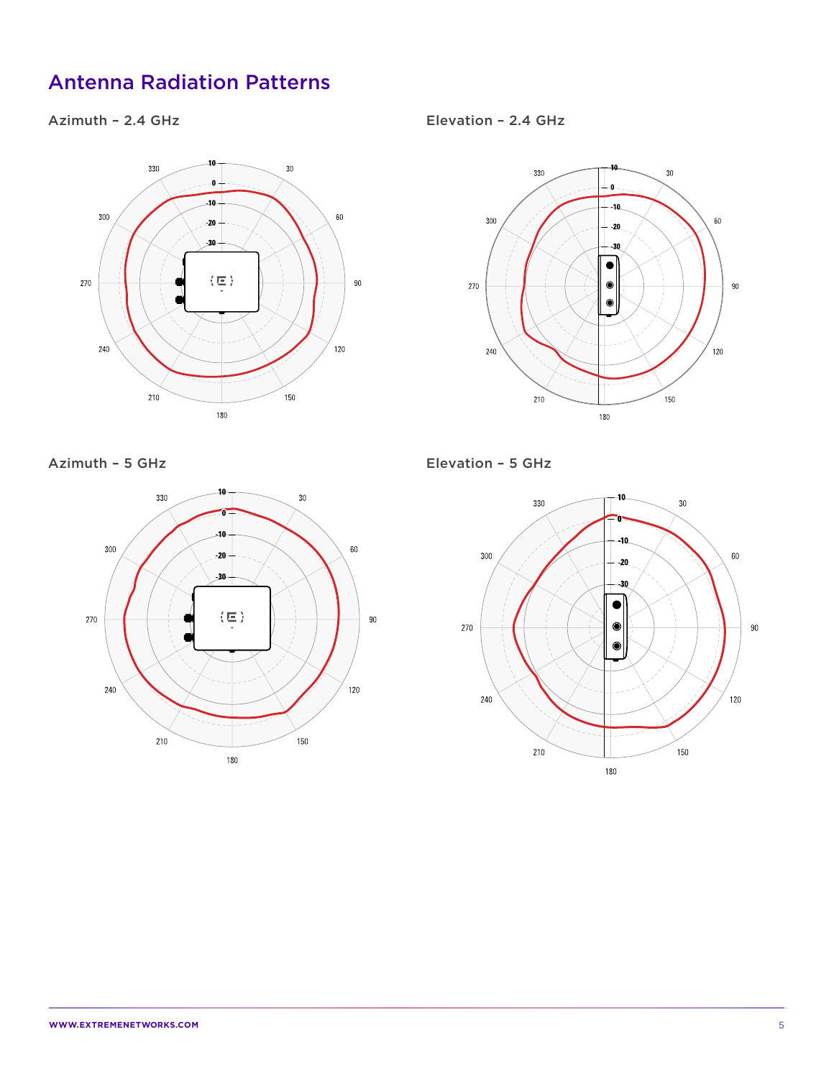# Antenna Radiation Patterns

# Azimuth – 2.4 GHz



Elevation – 2.4 GHz



Azimuth – 5 GHz



Elevation – 5 GHz

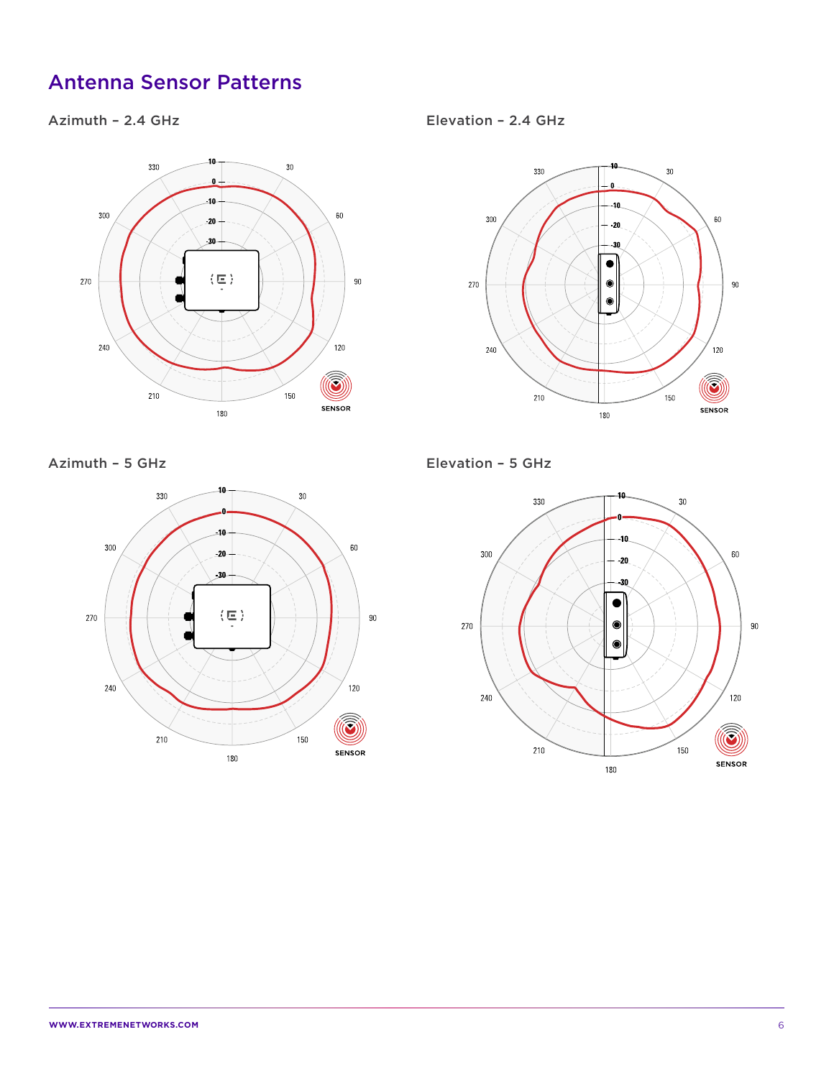# Antenna Sensor Patterns

# Azimuth – 2.4 GHz



Azimuth – 5 GHz



Elevation – 2.4 GHz



Elevation – 5 GHz